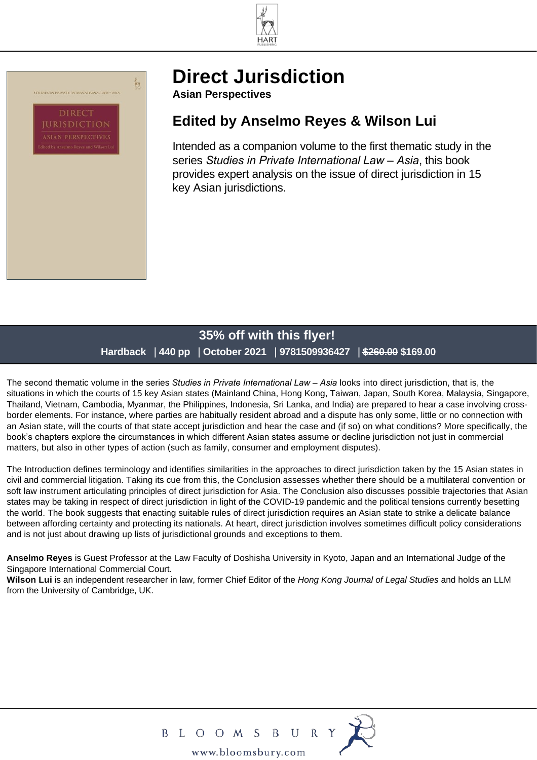



# **[Direct Jurisdiction](https://www.bloomsbury.com/au/direct-jurisdiction-9781509936427/)**

**Asian Perspectives**

## **Edited by Anselmo Reyes & Wilson Lui**

Intended as a companion volume to the first thematic study in the series *Studies in Private International Law – Asia*, this book provides expert analysis on the issue of direct jurisdiction in 15 key Asian jurisdictions.

### **35% off with this flyer! Hardback** | **440 pp** | **October 2021** | **9781509936427** | **\$260.00 \$169.00**

The second thematic volume in the series *Studies in Private International Law – Asia* looks into direct jurisdiction, that is, the situations in which the courts of 15 key Asian states (Mainland China, Hong Kong, Taiwan, Japan, South Korea, Malaysia, Singapore, Thailand, Vietnam, Cambodia, Myanmar, the Philippines, Indonesia, Sri Lanka, and India) are prepared to hear a case involving crossborder elements. For instance, where parties are habitually resident abroad and a dispute has only some, little or no connection with an Asian state, will the courts of that state accept jurisdiction and hear the case and (if so) on what conditions? More specifically, the book's chapters explore the circumstances in which different Asian states assume or decline jurisdiction not just in commercial matters, but also in other types of action (such as family, consumer and employment disputes).

The Introduction defines terminology and identifies similarities in the approaches to direct jurisdiction taken by the 15 Asian states in civil and commercial litigation. Taking its cue from this, the Conclusion assesses whether there should be a multilateral convention or soft law instrument articulating principles of direct jurisdiction for Asia. The Conclusion also discusses possible trajectories that Asian states may be taking in respect of direct jurisdiction in light of the COVID-19 pandemic and the political tensions currently besetting the world. The book suggests that enacting suitable rules of direct jurisdiction requires an Asian state to strike a delicate balance between affording certainty and protecting its nationals. At heart, direct jurisdiction involves sometimes difficult policy considerations and is not just about drawing up lists of jurisdictional grounds and exceptions to them.

**Anselmo Reyes** is Guest Professor at the Law Faculty of Doshisha University in Kyoto, Japan and an International Judge of the Singapore International Commercial Court.

**Wilson Lui** is an independent researcher in law, former Chief Editor of the *Hong Kong Journal of Legal Studies* and holds an LLM from the University of Cambridge, UK.



www.bloomsbury.com

 ${\bf U}$ 

B L O O M S B